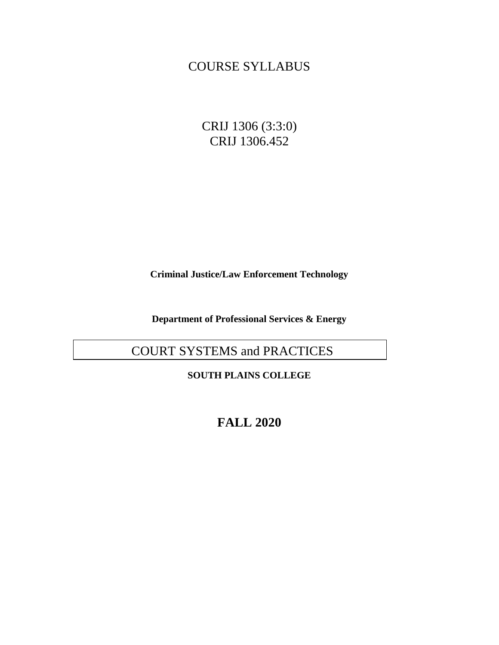## COURSE SYLLABUS

CRIJ 1306 (3:3:0) CRIJ 1306.452

**Criminal Justice/Law Enforcement Technology**

**Department of Professional Services & Energy**

# COURT SYSTEMS and PRACTICES

**SOUTH PLAINS COLLEGE**

**FALL 2020**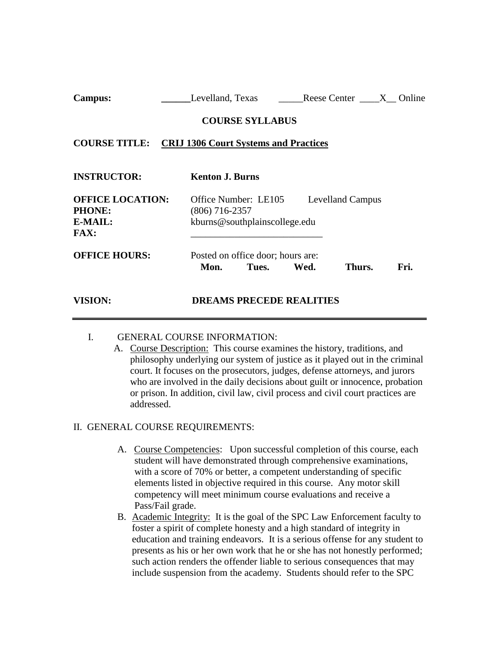| $\alpha$ <i>u</i>                                                  | Levenand, Texas Reese Center 41 Omnie                                                                |
|--------------------------------------------------------------------|------------------------------------------------------------------------------------------------------|
|                                                                    | <b>COURSE SYLLABUS</b>                                                                               |
|                                                                    | <b>COURSE TITLE:</b> CRIJ 1306 Court Systems and Practices                                           |
| <b>INSTRUCTOR:</b>                                                 | <b>Kenton J. Burns</b>                                                                               |
| <b>OFFICE LOCATION:</b><br><b>PHONE:</b><br>E-MAIL:<br><b>FAX:</b> | Office Number: LE105<br><b>Levelland Campus</b><br>$(806)$ 716-2357<br>kburns@southplainscollege.edu |
| <b>OFFICE HOURS:</b>                                               | Posted on office door; hours are:<br>Fri.<br>Thurs.<br>Tues.<br>Wed.<br>Mon.                         |

**Campus: \_\_\_\_\_\_**Levelland, Texas \_\_\_\_\_Reese Center \_\_\_\_X\_\_ Online

#### I. GENERAL COURSE INFORMATION:

**VISION: DREAMS PRECEDE REALITIES**

A. Course Description: This course examines the history, traditions, and philosophy underlying our system of justice as it played out in the criminal court. It focuses on the prosecutors, judges, defense attorneys, and jurors who are involved in the daily decisions about guilt or innocence, probation or prison. In addition, civil law, civil process and civil court practices are addressed.

## II. GENERAL COURSE REQUIREMENTS:

- A. Course Competencies: Upon successful completion of this course, each student will have demonstrated through comprehensive examinations, with a score of 70% or better, a competent understanding of specific elements listed in objective required in this course. Any motor skill competency will meet minimum course evaluations and receive a Pass/Fail grade.
- B. Academic Integrity: It is the goal of the SPC Law Enforcement faculty to foster a spirit of complete honesty and a high standard of integrity in education and training endeavors. It is a serious offense for any student to presents as his or her own work that he or she has not honestly performed; such action renders the offender liable to serious consequences that may include suspension from the academy. Students should refer to the SPC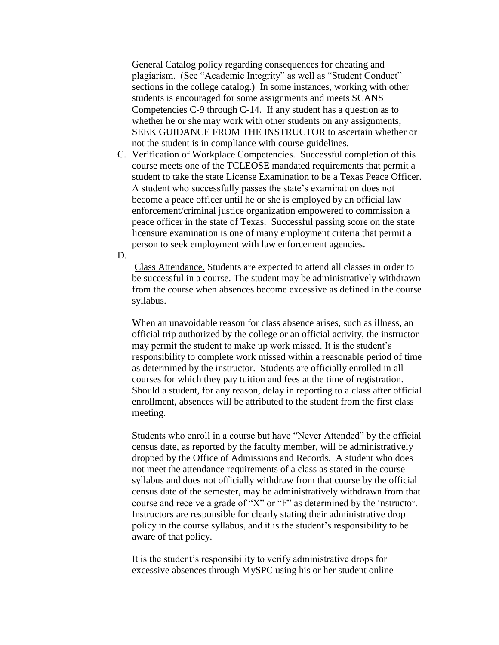General Catalog policy regarding consequences for cheating and plagiarism. (See "Academic Integrity" as well as "Student Conduct" sections in the college catalog.) In some instances, working with other students is encouraged for some assignments and meets SCANS Competencies C-9 through C-14. If any student has a question as to whether he or she may work with other students on any assignments, SEEK GUIDANCE FROM THE INSTRUCTOR to ascertain whether or not the student is in compliance with course guidelines.

C. Verification of Workplace Competencies. Successful completion of this course meets one of the TCLEOSE mandated requirements that permit a student to take the state License Examination to be a Texas Peace Officer. A student who successfully passes the state's examination does not become a peace officer until he or she is employed by an official law enforcement/criminal justice organization empowered to commission a peace officer in the state of Texas. Successful passing score on the state licensure examination is one of many employment criteria that permit a person to seek employment with law enforcement agencies.

D.

Class Attendance. Students are expected to attend all classes in order to be successful in a course. The student may be administratively withdrawn from the course when absences become excessive as defined in the course syllabus.

When an unavoidable reason for class absence arises, such as illness, an official trip authorized by the college or an official activity, the instructor may permit the student to make up work missed. It is the student's responsibility to complete work missed within a reasonable period of time as determined by the instructor. Students are officially enrolled in all courses for which they pay tuition and fees at the time of registration. Should a student, for any reason, delay in reporting to a class after official enrollment, absences will be attributed to the student from the first class meeting.

Students who enroll in a course but have "Never Attended" by the official census date, as reported by the faculty member, will be administratively dropped by the Office of Admissions and Records. A student who does not meet the attendance requirements of a class as stated in the course syllabus and does not officially withdraw from that course by the official census date of the semester, may be administratively withdrawn from that course and receive a grade of "X" or "F" as determined by the instructor. Instructors are responsible for clearly stating their administrative drop policy in the course syllabus, and it is the student's responsibility to be aware of that policy.

It is the student's responsibility to verify administrative drops for excessive absences through MySPC using his or her student online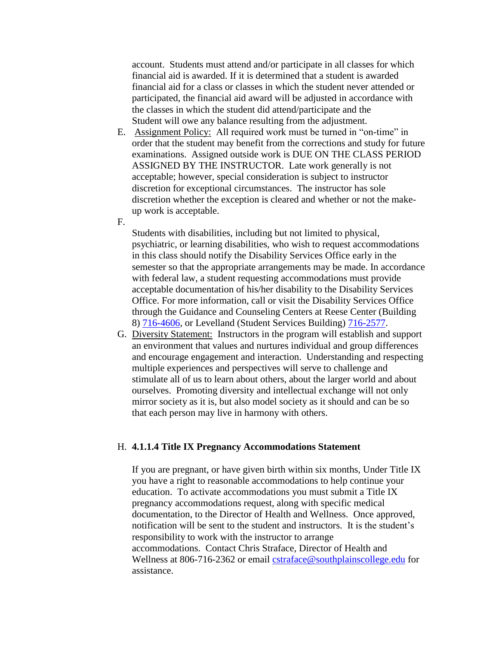account. Students must attend and/or participate in all classes for which financial aid is awarded. If it is determined that a student is awarded financial aid for a class or classes in which the student never attended or participated, the financial aid award will be adjusted in accordance with the classes in which the student did attend/participate and the Student will owe any balance resulting from the adjustment.

- E. Assignment Policy: All required work must be turned in "on-time" in order that the student may benefit from the corrections and study for future examinations. Assigned outside work is DUE ON THE CLASS PERIOD ASSIGNED BY THE INSTRUCTOR. Late work generally is not acceptable; however, special consideration is subject to instructor discretion for exceptional circumstances. The instructor has sole discretion whether the exception is cleared and whether or not the makeup work is acceptable.
- F.

Students with disabilities, including but not limited to physical, psychiatric, or learning disabilities, who wish to request accommodations in this class should notify the Disability Services Office early in the semester so that the appropriate arrangements may be made. In accordance with federal law, a student requesting accommodations must provide acceptable documentation of his/her disability to the Disability Services Office. For more information, call or visit the Disability Services Office through the Guidance and Counseling Centers at Reese Center (Building 8) [716-4606,](tel:716-4606) or Levelland (Student Services Building) [716-2577.](tel:716-2577)

G. Diversity Statement: Instructors in the program will establish and support an environment that values and nurtures individual and group differences and encourage engagement and interaction. Understanding and respecting multiple experiences and perspectives will serve to challenge and stimulate all of us to learn about others, about the larger world and about ourselves. Promoting diversity and intellectual exchange will not only mirror society as it is, but also model society as it should and can be so that each person may live in harmony with others.

#### H. **4.1.1.4 Title IX Pregnancy Accommodations Statement**

If you are pregnant, or have given birth within six months, Under Title IX you have a right to reasonable accommodations to help continue your education. To activate accommodations you must submit a Title IX pregnancy accommodations request, along with specific medical documentation, to the Director of Health and Wellness. Once approved, notification will be sent to the student and instructors. It is the student's responsibility to work with the instructor to arrange accommodations. Contact Chris Straface, Director of Health and Wellness at 806-716-2362 or email [cstraface@southplainscollege.edu](mailto:cstraface@southplainscollege.edu) for assistance.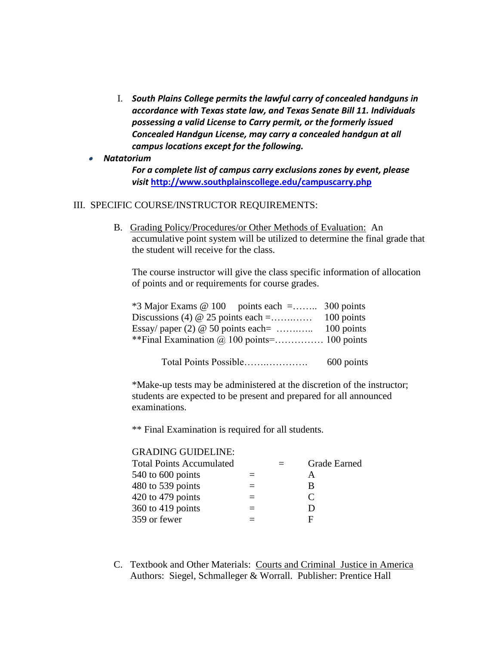- I. *South Plains College permits the lawful carry of concealed handguns in accordance with Texas state law, and Texas Senate Bill 11. Individuals possessing a valid License to Carry permit, or the formerly issued Concealed Handgun License, may carry a concealed handgun at all campus locations except for the following.*
- • *Natatorium*

*For a complete list of campus carry exclusions zones by event, please visit* **<http://www.southplainscollege.edu/campuscarry.php>**

## III. SPECIFIC COURSE/INSTRUCTOR REQUIREMENTS:

B. Grading Policy/Procedures/or Other Methods of Evaluation: An accumulative point system will be utilized to determine the final grade that the student will receive for the class.

The course instructor will give the class specific information of allocation of points and or requirements for course grades.

| $*3$ Major Exams @ 100 points each = 300 points |            |
|-------------------------------------------------|------------|
| Discussions (4) $\omega$ 25 points each =       | 100 points |
|                                                 |            |
|                                                 |            |
|                                                 |            |

Total Points Possible…….…………. 600 points

\*Make-up tests may be administered at the discretion of the instructor; students are expected to be present and prepared for all announced examinations.

\*\* Final Examination is required for all students.

### GRADING GUIDELINE:

| <b>Total Points Accumulated</b> |  | <b>Grade Earned</b> |
|---------------------------------|--|---------------------|
| 540 to 600 points               |  | А                   |
| 480 to 539 points               |  | В                   |
| 420 to 479 points               |  | C                   |
| 360 to 419 points               |  | Ð                   |
| 359 or fewer                    |  | F                   |

C. Textbook and Other Materials: Courts and Criminal Justice in America Authors: Siegel, Schmalleger & Worrall. Publisher: Prentice Hall